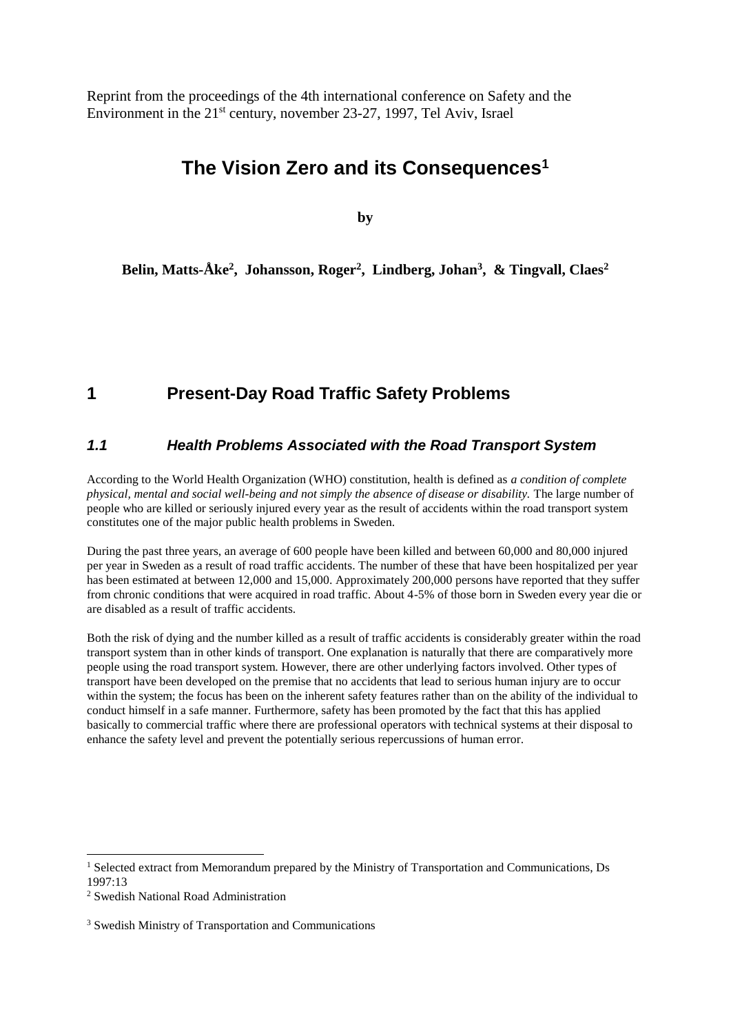Reprint from the proceedings of the 4th international conference on Safety and the Environment in the 21st century, november 23-27, 1997, Tel Aviv, Israel

# **The Vision Zero and its Consequences<sup>1</sup>**

**by**

**Belin, Matts-Åke<sup>2</sup> , Johansson, Roger<sup>2</sup> , Lindberg, Johan<sup>3</sup> , & Tingvall, Claes<sup>2</sup>**

# **1 Present-Day Road Traffic Safety Problems**

#### *1.1 Health Problems Associated with the Road Transport System*

According to the World Health Organization (WHO) constitution, health is defined as *a condition of complete physical, mental and social well-being and not simply the absence of disease or disability.* The large number of people who are killed or seriously injured every year as the result of accidents within the road transport system constitutes one of the major public health problems in Sweden.

During the past three years, an average of 600 people have been killed and between 60,000 and 80,000 injured per year in Sweden as a result of road traffic accidents. The number of these that have been hospitalized per year has been estimated at between 12,000 and 15,000. Approximately 200,000 persons have reported that they suffer from chronic conditions that were acquired in road traffic. About 4-5% of those born in Sweden every year die or are disabled as a result of traffic accidents.

Both the risk of dying and the number killed as a result of traffic accidents is considerably greater within the road transport system than in other kinds of transport. One explanation is naturally that there are comparatively more people using the road transport system. However, there are other underlying factors involved. Other types of transport have been developed on the premise that no accidents that lead to serious human injury are to occur within the system; the focus has been on the inherent safety features rather than on the ability of the individual to conduct himself in a safe manner. Furthermore, safety has been promoted by the fact that this has applied basically to commercial traffic where there are professional operators with technical systems at their disposal to enhance the safety level and prevent the potentially serious repercussions of human error.

1

<sup>&</sup>lt;sup>1</sup> Selected extract from Memorandum prepared by the Ministry of Transportation and Communications, Ds 1997:13

<sup>2</sup> Swedish National Road Administration

<sup>3</sup> Swedish Ministry of Transportation and Communications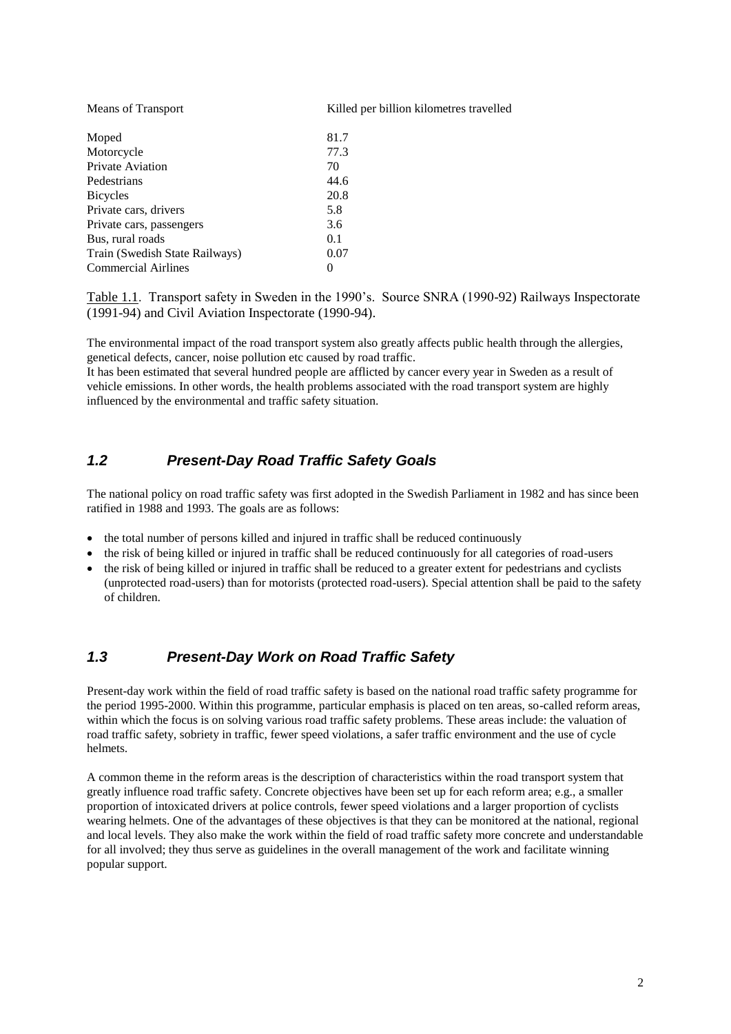| <b>NICALIS OF FIALISPULL</b>   | www  |
|--------------------------------|------|
| Moped                          | 81.7 |
| Motorcycle                     | 77.3 |
| <b>Private Aviation</b>        | 70   |
| Pedestrians                    | 44.6 |
| <b>Bicycles</b>                | 20.8 |
| Private cars, drivers          | 5.8  |
| Private cars, passengers       | 3.6  |
| Bus, rural roads               | 0.1  |
| Train (Swedish State Railways) | 0.07 |
| <b>Commercial Airlines</b>     |      |

Means of Transport Killed per billion kilometres travelled

Table 1.1. Transport safety in Sweden in the 1990's. Source SNRA (1990-92) Railways Inspectorate (1991-94) and Civil Aviation Inspectorate (1990-94).

The environmental impact of the road transport system also greatly affects public health through the allergies, genetical defects, cancer, noise pollution etc caused by road traffic.

It has been estimated that several hundred people are afflicted by cancer every year in Sweden as a result of vehicle emissions. In other words, the health problems associated with the road transport system are highly influenced by the environmental and traffic safety situation.

#### *1.2 Present-Day Road Traffic Safety Goals*

The national policy on road traffic safety was first adopted in the Swedish Parliament in 1982 and has since been ratified in 1988 and 1993. The goals are as follows:

- the total number of persons killed and injured in traffic shall be reduced continuously
- the risk of being killed or injured in traffic shall be reduced continuously for all categories of road-users
- the risk of being killed or injured in traffic shall be reduced to a greater extent for pedestrians and cyclists (unprotected road-users) than for motorists (protected road-users). Special attention shall be paid to the safety of children.

#### *1.3 Present-Day Work on Road Traffic Safety*

Present-day work within the field of road traffic safety is based on the national road traffic safety programme for the period 1995-2000. Within this programme, particular emphasis is placed on ten areas, so-called reform areas, within which the focus is on solving various road traffic safety problems. These areas include: the valuation of road traffic safety, sobriety in traffic, fewer speed violations, a safer traffic environment and the use of cycle helmets.

A common theme in the reform areas is the description of characteristics within the road transport system that greatly influence road traffic safety. Concrete objectives have been set up for each reform area; e.g., a smaller proportion of intoxicated drivers at police controls, fewer speed violations and a larger proportion of cyclists wearing helmets. One of the advantages of these objectives is that they can be monitored at the national, regional and local levels. They also make the work within the field of road traffic safety more concrete and understandable for all involved; they thus serve as guidelines in the overall management of the work and facilitate winning popular support.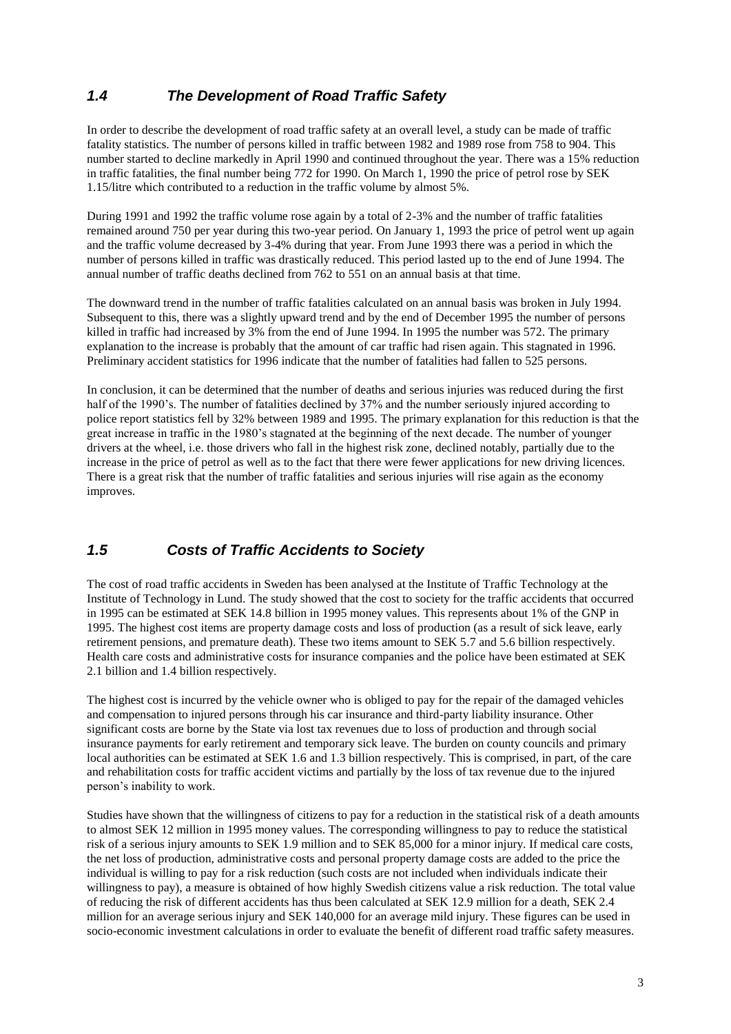# *1.4 The Development of Road Traffic Safety*

In order to describe the development of road traffic safety at an overall level, a study can be made of traffic fatality statistics. The number of persons killed in traffic between 1982 and 1989 rose from 758 to 904. This number started to decline markedly in April 1990 and continued throughout the year. There was a 15% reduction in traffic fatalities, the final number being 772 for 1990. On March 1, 1990 the price of petrol rose by SEK 1.15/litre which contributed to a reduction in the traffic volume by almost 5%.

During 1991 and 1992 the traffic volume rose again by a total of 2-3% and the number of traffic fatalities remained around 750 per year during this two-year period. On January 1, 1993 the price of petrol went up again and the traffic volume decreased by 3-4% during that year. From June 1993 there was a period in which the number of persons killed in traffic was drastically reduced. This period lasted up to the end of June 1994. The annual number of traffic deaths declined from 762 to 551 on an annual basis at that time.

The downward trend in the number of traffic fatalities calculated on an annual basis was broken in July 1994. Subsequent to this, there was a slightly upward trend and by the end of December 1995 the number of persons killed in traffic had increased by 3% from the end of June 1994. In 1995 the number was 572. The primary explanation to the increase is probably that the amount of car traffic had risen again. This stagnated in 1996. Preliminary accident statistics for 1996 indicate that the number of fatalities had fallen to 525 persons.

In conclusion, it can be determined that the number of deaths and serious injuries was reduced during the first half of the 1990's. The number of fatalities declined by 37% and the number seriously injured according to police report statistics fell by 32% between 1989 and 1995. The primary explanation for this reduction is that the great increase in traffic in the 1980's stagnated at the beginning of the next decade. The number of younger drivers at the wheel, i.e. those drivers who fall in the highest risk zone, declined notably, partially due to the increase in the price of petrol as well as to the fact that there were fewer applications for new driving licences. There is a great risk that the number of traffic fatalities and serious injuries will rise again as the economy improves.

# *1.5 Costs of Traffic Accidents to Society*

The cost of road traffic accidents in Sweden has been analysed at the Institute of Traffic Technology at the Institute of Technology in Lund. The study showed that the cost to society for the traffic accidents that occurred in 1995 can be estimated at SEK 14.8 billion in 1995 money values. This represents about 1% of the GNP in 1995. The highest cost items are property damage costs and loss of production (as a result of sick leave, early retirement pensions, and premature death). These two items amount to SEK 5.7 and 5.6 billion respectively. Health care costs and administrative costs for insurance companies and the police have been estimated at SEK 2.1 billion and 1.4 billion respectively.

The highest cost is incurred by the vehicle owner who is obliged to pay for the repair of the damaged vehicles and compensation to injured persons through his car insurance and third-party liability insurance. Other significant costs are borne by the State via lost tax revenues due to loss of production and through social insurance payments for early retirement and temporary sick leave. The burden on county councils and primary local authorities can be estimated at SEK 1.6 and 1.3 billion respectively. This is comprised, in part, of the care and rehabilitation costs for traffic accident victims and partially by the loss of tax revenue due to the injured person's inability to work.

Studies have shown that the willingness of citizens to pay for a reduction in the statistical risk of a death amounts to almost SEK 12 million in 1995 money values. The corresponding willingness to pay to reduce the statistical risk of a serious injury amounts to SEK 1.9 million and to SEK 85,000 for a minor injury. If medical care costs, the net loss of production, administrative costs and personal property damage costs are added to the price the individual is willing to pay for a risk reduction (such costs are not included when individuals indicate their willingness to pay), a measure is obtained of how highly Swedish citizens value a risk reduction. The total value of reducing the risk of different accidents has thus been calculated at SEK 12.9 million for a death, SEK 2.4 million for an average serious injury and SEK 140,000 for an average mild injury. These figures can be used in socio-economic investment calculations in order to evaluate the benefit of different road traffic safety measures.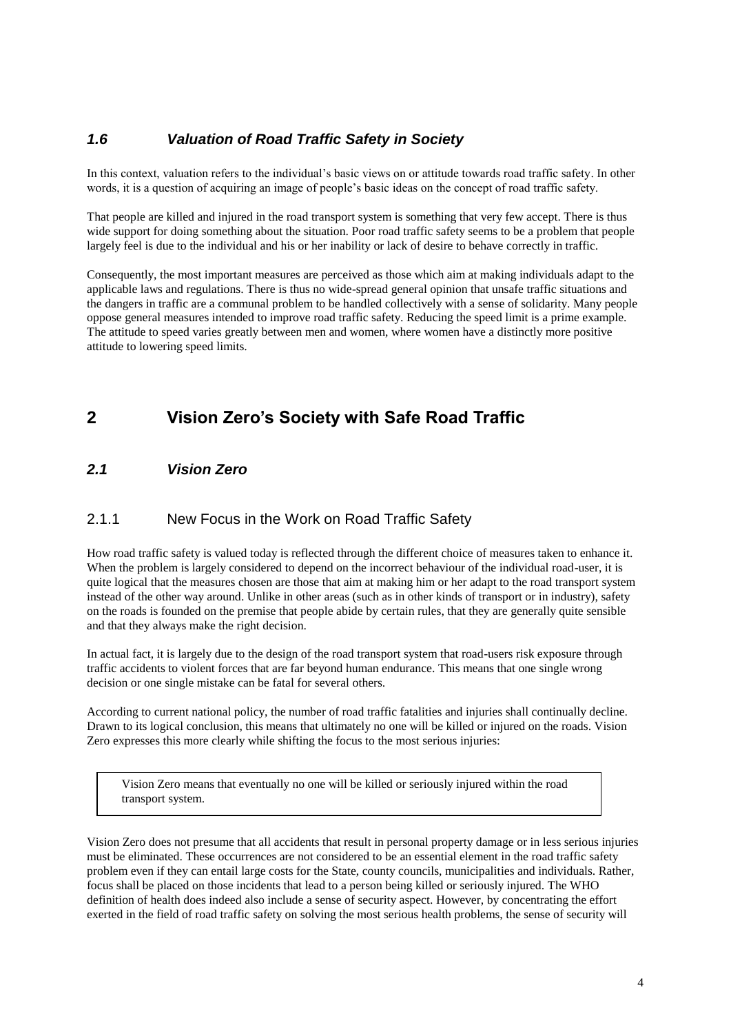# *1.6 Valuation of Road Traffic Safety in Society*

In this context, valuation refers to the individual's basic views on or attitude towards road traffic safety. In other words, it is a question of acquiring an image of people's basic ideas on the concept of road traffic safety.

That people are killed and injured in the road transport system is something that very few accept. There is thus wide support for doing something about the situation. Poor road traffic safety seems to be a problem that people largely feel is due to the individual and his or her inability or lack of desire to behave correctly in traffic.

Consequently, the most important measures are perceived as those which aim at making individuals adapt to the applicable laws and regulations. There is thus no wide-spread general opinion that unsafe traffic situations and the dangers in traffic are a communal problem to be handled collectively with a sense of solidarity. Many people oppose general measures intended to improve road traffic safety. Reducing the speed limit is a prime example. The attitude to speed varies greatly between men and women, where women have a distinctly more positive attitude to lowering speed limits.

# **2 Vision Zero's Society with Safe Road Traffic**

#### *2.1 Vision Zero*

#### 2.1.1 New Focus in the Work on Road Traffic Safety

How road traffic safety is valued today is reflected through the different choice of measures taken to enhance it. When the problem is largely considered to depend on the incorrect behaviour of the individual road-user, it is quite logical that the measures chosen are those that aim at making him or her adapt to the road transport system instead of the other way around. Unlike in other areas (such as in other kinds of transport or in industry), safety on the roads is founded on the premise that people abide by certain rules, that they are generally quite sensible and that they always make the right decision.

In actual fact, it is largely due to the design of the road transport system that road-users risk exposure through traffic accidents to violent forces that are far beyond human endurance. This means that one single wrong decision or one single mistake can be fatal for several others.

According to current national policy, the number of road traffic fatalities and injuries shall continually decline. Drawn to its logical conclusion, this means that ultimately no one will be killed or injured on the roads. Vision Zero expresses this more clearly while shifting the focus to the most serious injuries:

Vision Zero means that eventually no one will be killed or seriously injured within the road transport system.

Vision Zero does not presume that all accidents that result in personal property damage or in less serious injuries must be eliminated. These occurrences are not considered to be an essential element in the road traffic safety problem even if they can entail large costs for the State, county councils, municipalities and individuals. Rather, focus shall be placed on those incidents that lead to a person being killed or seriously injured. The WHO definition of health does indeed also include a sense of security aspect. However, by concentrating the effort exerted in the field of road traffic safety on solving the most serious health problems, the sense of security will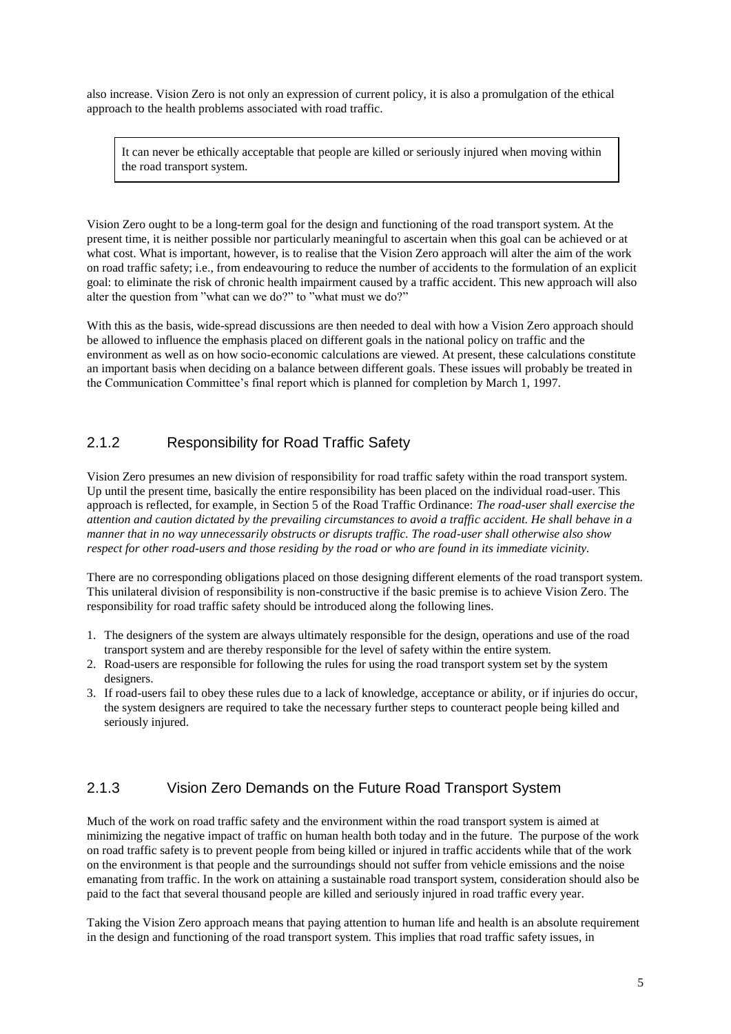also increase. Vision Zero is not only an expression of current policy, it is also a promulgation of the ethical approach to the health problems associated with road traffic.

It can never be ethically acceptable that people are killed or seriously injured when moving within the road transport system.

Vision Zero ought to be a long-term goal for the design and functioning of the road transport system. At the present time, it is neither possible nor particularly meaningful to ascertain when this goal can be achieved or at what cost. What is important, however, is to realise that the Vision Zero approach will alter the aim of the work on road traffic safety; i.e., from endeavouring to reduce the number of accidents to the formulation of an explicit goal: to eliminate the risk of chronic health impairment caused by a traffic accident. This new approach will also alter the question from "what can we do?" to "what must we do?"

With this as the basis, wide-spread discussions are then needed to deal with how a Vision Zero approach should be allowed to influence the emphasis placed on different goals in the national policy on traffic and the environment as well as on how socio-economic calculations are viewed. At present, these calculations constitute an important basis when deciding on a balance between different goals. These issues will probably be treated in the Communication Committee's final report which is planned for completion by March 1, 1997.

## 2.1.2 Responsibility for Road Traffic Safety

Vision Zero presumes an new division of responsibility for road traffic safety within the road transport system. Up until the present time, basically the entire responsibility has been placed on the individual road-user. This approach is reflected, for example, in Section 5 of the Road Traffic Ordinance: *The road-user shall exercise the attention and caution dictated by the prevailing circumstances to avoid a traffic accident. He shall behave in a manner that in no way unnecessarily obstructs or disrupts traffic. The road-user shall otherwise also show respect for other road-users and those residing by the road or who are found in its immediate vicinity.*

There are no corresponding obligations placed on those designing different elements of the road transport system. This unilateral division of responsibility is non-constructive if the basic premise is to achieve Vision Zero. The responsibility for road traffic safety should be introduced along the following lines.

- 1. The designers of the system are always ultimately responsible for the design, operations and use of the road transport system and are thereby responsible for the level of safety within the entire system.
- 2. Road-users are responsible for following the rules for using the road transport system set by the system designers.
- 3. If road-users fail to obey these rules due to a lack of knowledge, acceptance or ability, or if injuries do occur, the system designers are required to take the necessary further steps to counteract people being killed and seriously injured.

## 2.1.3 Vision Zero Demands on the Future Road Transport System

Much of the work on road traffic safety and the environment within the road transport system is aimed at minimizing the negative impact of traffic on human health both today and in the future. The purpose of the work on road traffic safety is to prevent people from being killed or injured in traffic accidents while that of the work on the environment is that people and the surroundings should not suffer from vehicle emissions and the noise emanating from traffic. In the work on attaining a sustainable road transport system, consideration should also be paid to the fact that several thousand people are killed and seriously injured in road traffic every year.

Taking the Vision Zero approach means that paying attention to human life and health is an absolute requirement in the design and functioning of the road transport system. This implies that road traffic safety issues, in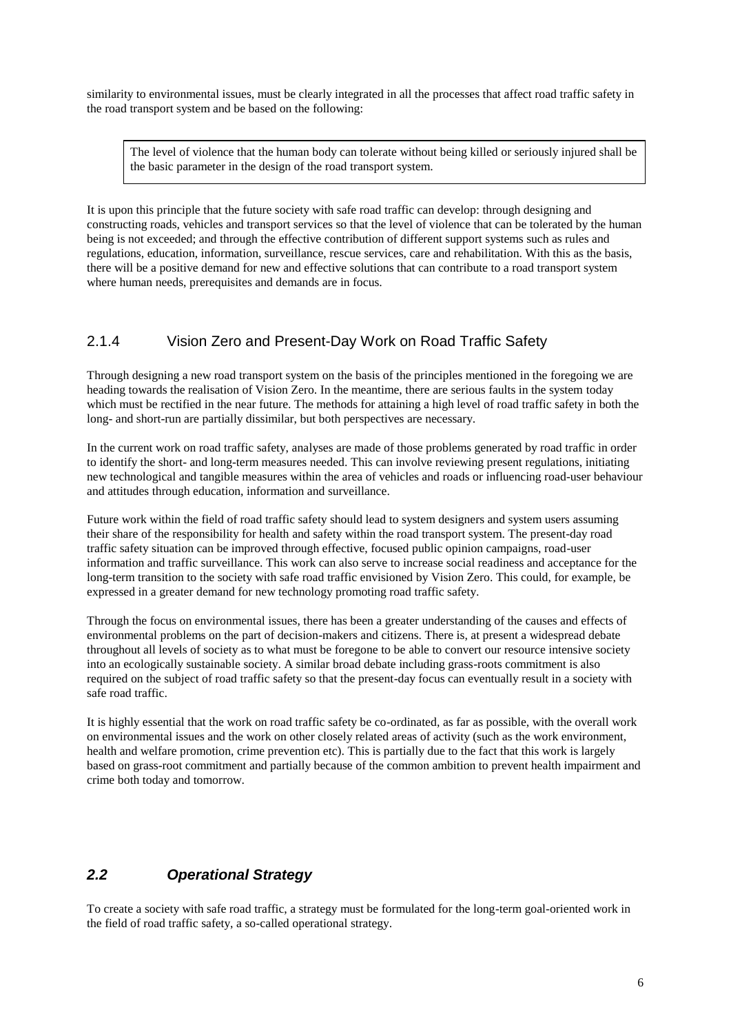similarity to environmental issues, must be clearly integrated in all the processes that affect road traffic safety in the road transport system and be based on the following:

The level of violence that the human body can tolerate without being killed or seriously injured shall be the basic parameter in the design of the road transport system.

It is upon this principle that the future society with safe road traffic can develop: through designing and constructing roads, vehicles and transport services so that the level of violence that can be tolerated by the human being is not exceeded; and through the effective contribution of different support systems such as rules and regulations, education, information, surveillance, rescue services, care and rehabilitation. With this as the basis, there will be a positive demand for new and effective solutions that can contribute to a road transport system where human needs, prerequisites and demands are in focus.

#### 2.1.4 Vision Zero and Present-Day Work on Road Traffic Safety

Through designing a new road transport system on the basis of the principles mentioned in the foregoing we are heading towards the realisation of Vision Zero. In the meantime, there are serious faults in the system today which must be rectified in the near future. The methods for attaining a high level of road traffic safety in both the long- and short-run are partially dissimilar, but both perspectives are necessary.

In the current work on road traffic safety, analyses are made of those problems generated by road traffic in order to identify the short- and long-term measures needed. This can involve reviewing present regulations, initiating new technological and tangible measures within the area of vehicles and roads or influencing road-user behaviour and attitudes through education, information and surveillance.

Future work within the field of road traffic safety should lead to system designers and system users assuming their share of the responsibility for health and safety within the road transport system. The present-day road traffic safety situation can be improved through effective, focused public opinion campaigns, road-user information and traffic surveillance. This work can also serve to increase social readiness and acceptance for the long-term transition to the society with safe road traffic envisioned by Vision Zero. This could, for example, be expressed in a greater demand for new technology promoting road traffic safety.

Through the focus on environmental issues, there has been a greater understanding of the causes and effects of environmental problems on the part of decision-makers and citizens. There is, at present a widespread debate throughout all levels of society as to what must be foregone to be able to convert our resource intensive society into an ecologically sustainable society. A similar broad debate including grass-roots commitment is also required on the subject of road traffic safety so that the present-day focus can eventually result in a society with safe road traffic.

It is highly essential that the work on road traffic safety be co-ordinated, as far as possible, with the overall work on environmental issues and the work on other closely related areas of activity (such as the work environment, health and welfare promotion, crime prevention etc). This is partially due to the fact that this work is largely based on grass-root commitment and partially because of the common ambition to prevent health impairment and crime both today and tomorrow.

# *2.2 Operational Strategy*

To create a society with safe road traffic, a strategy must be formulated for the long-term goal-oriented work in the field of road traffic safety, a so-called operational strategy.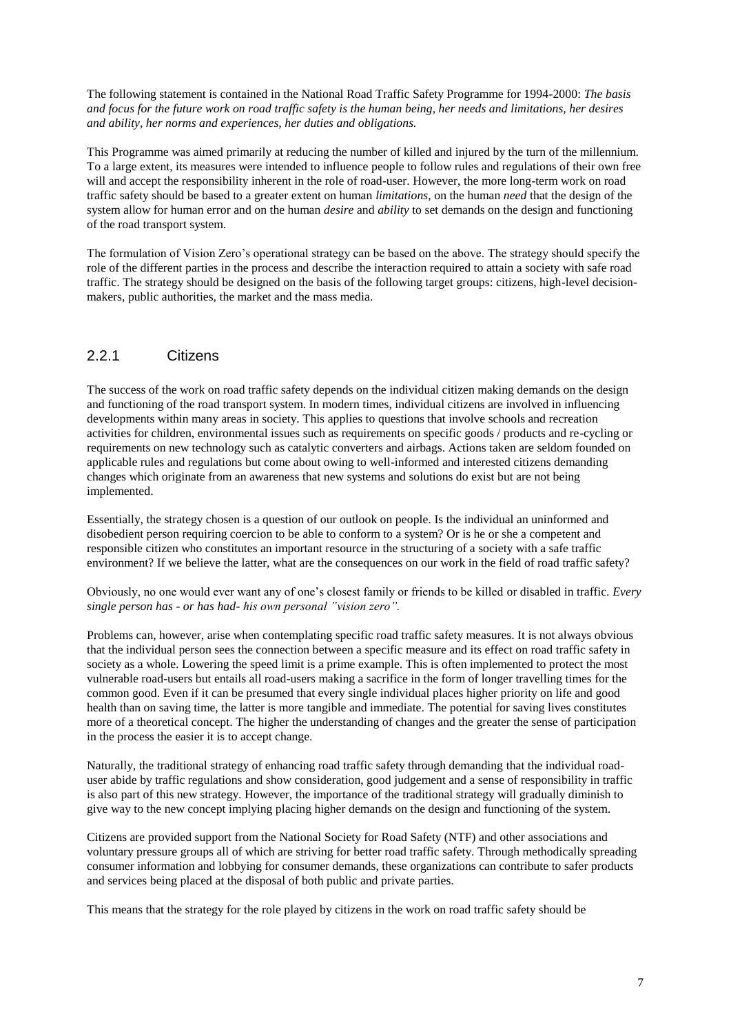The following statement is contained in the National Road Traffic Safety Programme for 1994-2000: *The basis and focus for the future work on road traffic safety is the human being, her needs and limitations, her desires and ability, her norms and experiences, her duties and obligations.*

This Programme was aimed primarily at reducing the number of killed and injured by the turn of the millennium. To a large extent, its measures were intended to influence people to follow rules and regulations of their own free will and accept the responsibility inherent in the role of road-user. However, the more long-term work on road traffic safety should be based to a greater extent on human *limitations*, on the human *need* that the design of the system allow for human error and on the human *desire* and *ability* to set demands on the design and functioning of the road transport system.

The formulation of Vision Zero's operational strategy can be based on the above. The strategy should specify the role of the different parties in the process and describe the interaction required to attain a society with safe road traffic. The strategy should be designed on the basis of the following target groups: citizens, high-level decisionmakers, public authorities, the market and the mass media.

# 2.2.1 Citizens

The success of the work on road traffic safety depends on the individual citizen making demands on the design and functioning of the road transport system. In modern times, individual citizens are involved in influencing developments within many areas in society. This applies to questions that involve schools and recreation activities for children, environmental issues such as requirements on specific goods / products and re-cycling or requirements on new technology such as catalytic converters and airbags. Actions taken are seldom founded on applicable rules and regulations but come about owing to well-informed and interested citizens demanding changes which originate from an awareness that new systems and solutions do exist but are not being implemented.

Essentially, the strategy chosen is a question of our outlook on people. Is the individual an uninformed and disobedient person requiring coercion to be able to conform to a system? Or is he or she a competent and responsible citizen who constitutes an important resource in the structuring of a society with a safe traffic environment? If we believe the latter, what are the consequences on our work in the field of road traffic safety?

Obviously, no one would ever want any of one's closest family or friends to be killed or disabled in traffic. *Every single person has - or has had- his own personal "vision zero".*

Problems can, however, arise when contemplating specific road traffic safety measures. It is not always obvious that the individual person sees the connection between a specific measure and its effect on road traffic safety in society as a whole. Lowering the speed limit is a prime example. This is often implemented to protect the most vulnerable road-users but entails all road-users making a sacrifice in the form of longer travelling times for the common good. Even if it can be presumed that every single individual places higher priority on life and good health than on saving time, the latter is more tangible and immediate. The potential for saving lives constitutes more of a theoretical concept. The higher the understanding of changes and the greater the sense of participation in the process the easier it is to accept change.

Naturally, the traditional strategy of enhancing road traffic safety through demanding that the individual roaduser abide by traffic regulations and show consideration, good judgement and a sense of responsibility in traffic is also part of this new strategy. However, the importance of the traditional strategy will gradually diminish to give way to the new concept implying placing higher demands on the design and functioning of the system.

Citizens are provided support from the National Society for Road Safety (NTF) and other associations and voluntary pressure groups all of which are striving for better road traffic safety. Through methodically spreading consumer information and lobbying for consumer demands, these organizations can contribute to safer products and services being placed at the disposal of both public and private parties.

This means that the strategy for the role played by citizens in the work on road traffic safety should be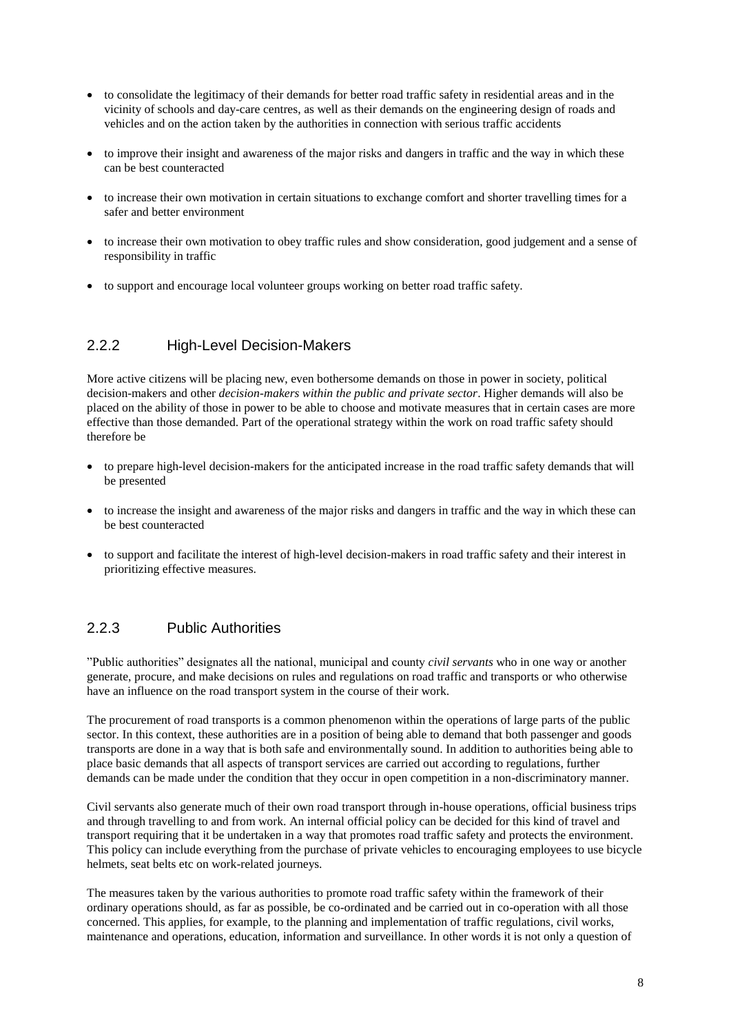- to consolidate the legitimacy of their demands for better road traffic safety in residential areas and in the vicinity of schools and day-care centres, as well as their demands on the engineering design of roads and vehicles and on the action taken by the authorities in connection with serious traffic accidents
- to improve their insight and awareness of the major risks and dangers in traffic and the way in which these can be best counteracted
- to increase their own motivation in certain situations to exchange comfort and shorter travelling times for a safer and better environment
- to increase their own motivation to obey traffic rules and show consideration, good judgement and a sense of responsibility in traffic
- to support and encourage local volunteer groups working on better road traffic safety.

# 2.2.2 High-Level Decision-Makers

More active citizens will be placing new, even bothersome demands on those in power in society, political decision-makers and other *decision-makers within the public and private sector*. Higher demands will also be placed on the ability of those in power to be able to choose and motivate measures that in certain cases are more effective than those demanded. Part of the operational strategy within the work on road traffic safety should therefore be

- to prepare high-level decision-makers for the anticipated increase in the road traffic safety demands that will be presented
- to increase the insight and awareness of the major risks and dangers in traffic and the way in which these can be best counteracted
- to support and facilitate the interest of high-level decision-makers in road traffic safety and their interest in prioritizing effective measures.

## 2.2.3 Public Authorities

"Public authorities" designates all the national, municipal and county *civil servants* who in one way or another generate, procure, and make decisions on rules and regulations on road traffic and transports or who otherwise have an influence on the road transport system in the course of their work.

The procurement of road transports is a common phenomenon within the operations of large parts of the public sector. In this context, these authorities are in a position of being able to demand that both passenger and goods transports are done in a way that is both safe and environmentally sound. In addition to authorities being able to place basic demands that all aspects of transport services are carried out according to regulations, further demands can be made under the condition that they occur in open competition in a non-discriminatory manner.

Civil servants also generate much of their own road transport through in-house operations, official business trips and through travelling to and from work. An internal official policy can be decided for this kind of travel and transport requiring that it be undertaken in a way that promotes road traffic safety and protects the environment. This policy can include everything from the purchase of private vehicles to encouraging employees to use bicycle helmets, seat belts etc on work-related journeys.

The measures taken by the various authorities to promote road traffic safety within the framework of their ordinary operations should, as far as possible, be co-ordinated and be carried out in co-operation with all those concerned. This applies, for example, to the planning and implementation of traffic regulations, civil works, maintenance and operations, education, information and surveillance. In other words it is not only a question of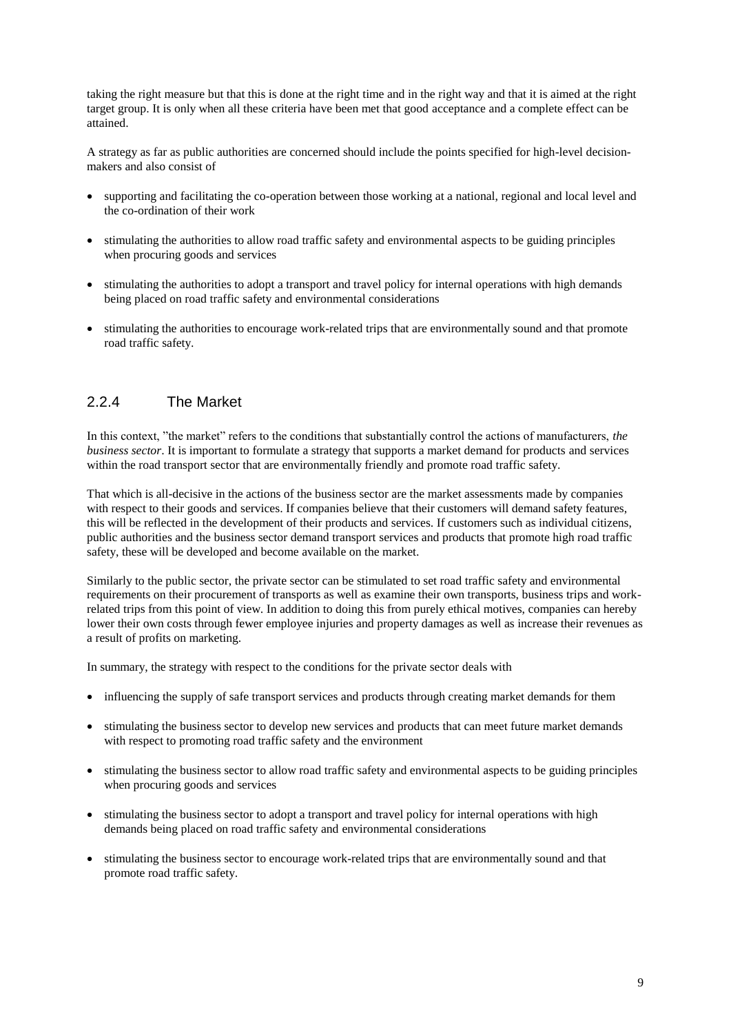taking the right measure but that this is done at the right time and in the right way and that it is aimed at the right target group. It is only when all these criteria have been met that good acceptance and a complete effect can be attained.

A strategy as far as public authorities are concerned should include the points specified for high-level decisionmakers and also consist of

- supporting and facilitating the co-operation between those working at a national, regional and local level and the co-ordination of their work
- stimulating the authorities to allow road traffic safety and environmental aspects to be guiding principles when procuring goods and services
- stimulating the authorities to adopt a transport and travel policy for internal operations with high demands being placed on road traffic safety and environmental considerations
- stimulating the authorities to encourage work-related trips that are environmentally sound and that promote road traffic safety.

#### 2.2.4 The Market

In this context, "the market" refers to the conditions that substantially control the actions of manufacturers, *the business sector*. It is important to formulate a strategy that supports a market demand for products and services within the road transport sector that are environmentally friendly and promote road traffic safety.

That which is all-decisive in the actions of the business sector are the market assessments made by companies with respect to their goods and services. If companies believe that their customers will demand safety features, this will be reflected in the development of their products and services. If customers such as individual citizens, public authorities and the business sector demand transport services and products that promote high road traffic safety, these will be developed and become available on the market.

Similarly to the public sector, the private sector can be stimulated to set road traffic safety and environmental requirements on their procurement of transports as well as examine their own transports, business trips and workrelated trips from this point of view. In addition to doing this from purely ethical motives, companies can hereby lower their own costs through fewer employee injuries and property damages as well as increase their revenues as a result of profits on marketing.

In summary, the strategy with respect to the conditions for the private sector deals with

- influencing the supply of safe transport services and products through creating market demands for them
- stimulating the business sector to develop new services and products that can meet future market demands with respect to promoting road traffic safety and the environment
- stimulating the business sector to allow road traffic safety and environmental aspects to be guiding principles when procuring goods and services
- stimulating the business sector to adopt a transport and travel policy for internal operations with high demands being placed on road traffic safety and environmental considerations
- stimulating the business sector to encourage work-related trips that are environmentally sound and that promote road traffic safety.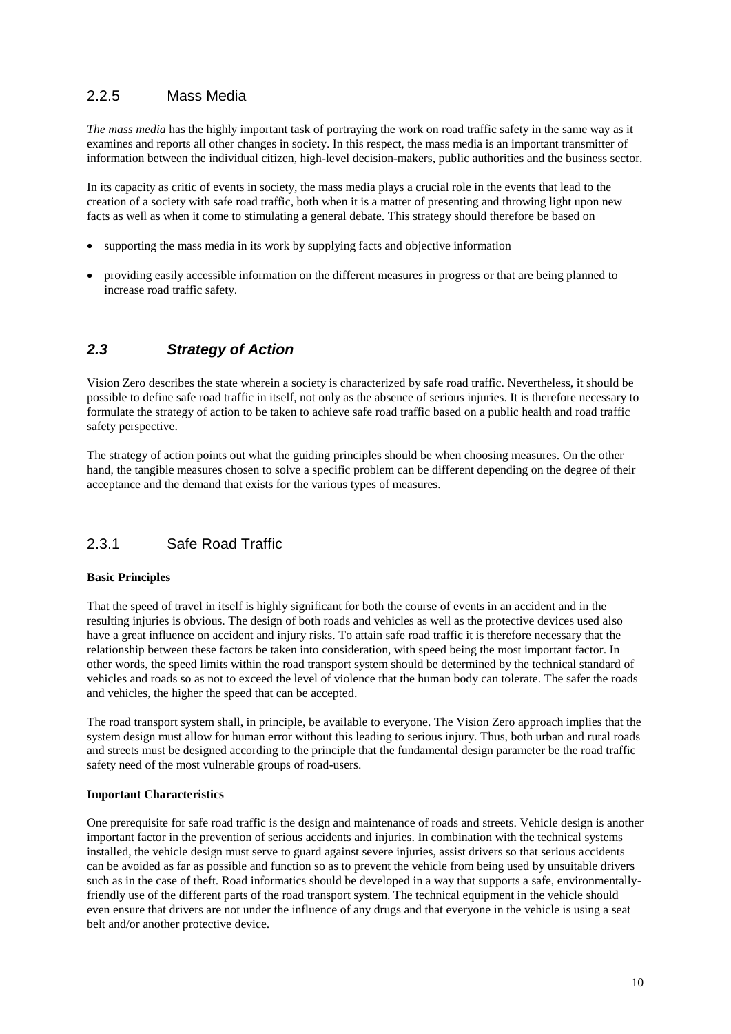# 2.2.5 Mass Media

*The mass media* has the highly important task of portraying the work on road traffic safety in the same way as it examines and reports all other changes in society. In this respect, the mass media is an important transmitter of information between the individual citizen, high-level decision-makers, public authorities and the business sector.

In its capacity as critic of events in society, the mass media plays a crucial role in the events that lead to the creation of a society with safe road traffic, both when it is a matter of presenting and throwing light upon new facts as well as when it come to stimulating a general debate. This strategy should therefore be based on

- supporting the mass media in its work by supplying facts and objective information
- providing easily accessible information on the different measures in progress or that are being planned to increase road traffic safety.

# *2.3 Strategy of Action*

Vision Zero describes the state wherein a society is characterized by safe road traffic. Nevertheless, it should be possible to define safe road traffic in itself, not only as the absence of serious injuries. It is therefore necessary to formulate the strategy of action to be taken to achieve safe road traffic based on a public health and road traffic safety perspective.

The strategy of action points out what the guiding principles should be when choosing measures. On the other hand, the tangible measures chosen to solve a specific problem can be different depending on the degree of their acceptance and the demand that exists for the various types of measures.

# 2.3.1 Safe Road Traffic

#### **Basic Principles**

That the speed of travel in itself is highly significant for both the course of events in an accident and in the resulting injuries is obvious. The design of both roads and vehicles as well as the protective devices used also have a great influence on accident and injury risks. To attain safe road traffic it is therefore necessary that the relationship between these factors be taken into consideration, with speed being the most important factor. In other words, the speed limits within the road transport system should be determined by the technical standard of vehicles and roads so as not to exceed the level of violence that the human body can tolerate. The safer the roads and vehicles, the higher the speed that can be accepted.

The road transport system shall, in principle, be available to everyone. The Vision Zero approach implies that the system design must allow for human error without this leading to serious injury. Thus, both urban and rural roads and streets must be designed according to the principle that the fundamental design parameter be the road traffic safety need of the most vulnerable groups of road-users.

#### **Important Characteristics**

One prerequisite for safe road traffic is the design and maintenance of roads and streets. Vehicle design is another important factor in the prevention of serious accidents and injuries. In combination with the technical systems installed, the vehicle design must serve to guard against severe injuries, assist drivers so that serious accidents can be avoided as far as possible and function so as to prevent the vehicle from being used by unsuitable drivers such as in the case of theft. Road informatics should be developed in a way that supports a safe, environmentallyfriendly use of the different parts of the road transport system. The technical equipment in the vehicle should even ensure that drivers are not under the influence of any drugs and that everyone in the vehicle is using a seat belt and/or another protective device.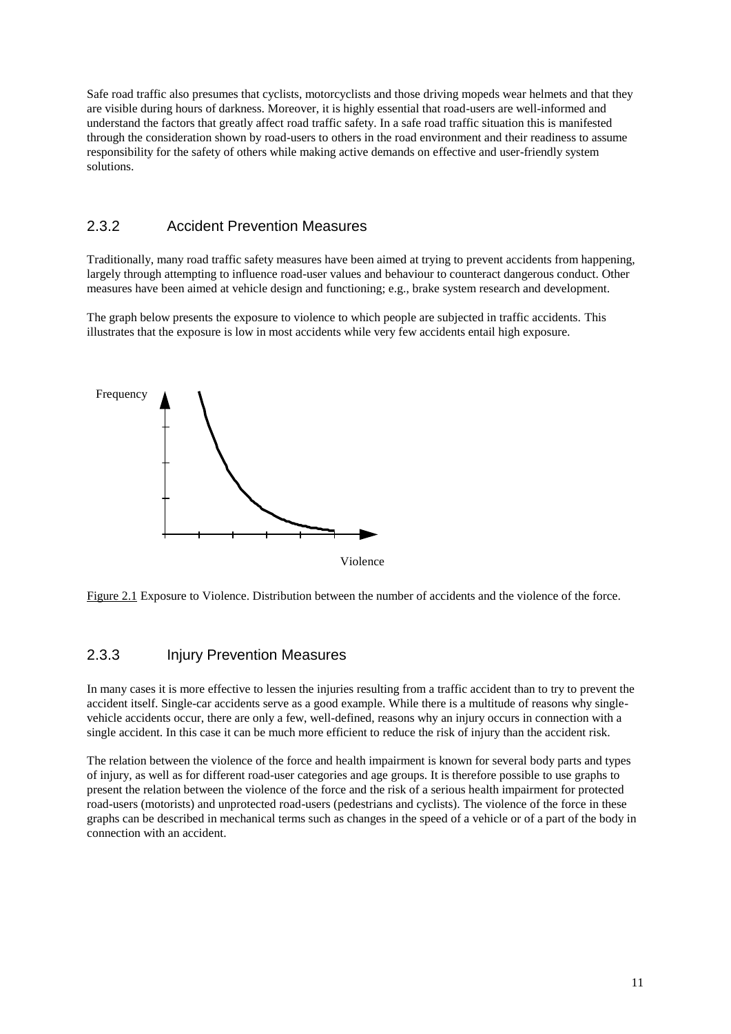Safe road traffic also presumes that cyclists, motorcyclists and those driving mopeds wear helmets and that they are visible during hours of darkness. Moreover, it is highly essential that road-users are well-informed and understand the factors that greatly affect road traffic safety. In a safe road traffic situation this is manifested through the consideration shown by road-users to others in the road environment and their readiness to assume responsibility for the safety of others while making active demands on effective and user-friendly system solutions.

### 2.3.2 Accident Prevention Measures

Traditionally, many road traffic safety measures have been aimed at trying to prevent accidents from happening, largely through attempting to influence road-user values and behaviour to counteract dangerous conduct. Other measures have been aimed at vehicle design and functioning; e.g., brake system research and development.

The graph below presents the exposure to violence to which people are subjected in traffic accidents. This illustrates that the exposure is low in most accidents while very few accidents entail high exposure.



Figure 2.1 Exposure to Violence. Distribution between the number of accidents and the violence of the force.

#### 2.3.3 Injury Prevention Measures

In many cases it is more effective to lessen the injuries resulting from a traffic accident than to try to prevent the accident itself. Single-car accidents serve as a good example. While there is a multitude of reasons why singlevehicle accidents occur, there are only a few, well-defined, reasons why an injury occurs in connection with a single accident. In this case it can be much more efficient to reduce the risk of injury than the accident risk.

The relation between the violence of the force and health impairment is known for several body parts and types of injury, as well as for different road-user categories and age groups. It is therefore possible to use graphs to present the relation between the violence of the force and the risk of a serious health impairment for protected road-users (motorists) and unprotected road-users (pedestrians and cyclists). The violence of the force in these graphs can be described in mechanical terms such as changes in the speed of a vehicle or of a part of the body in connection with an accident.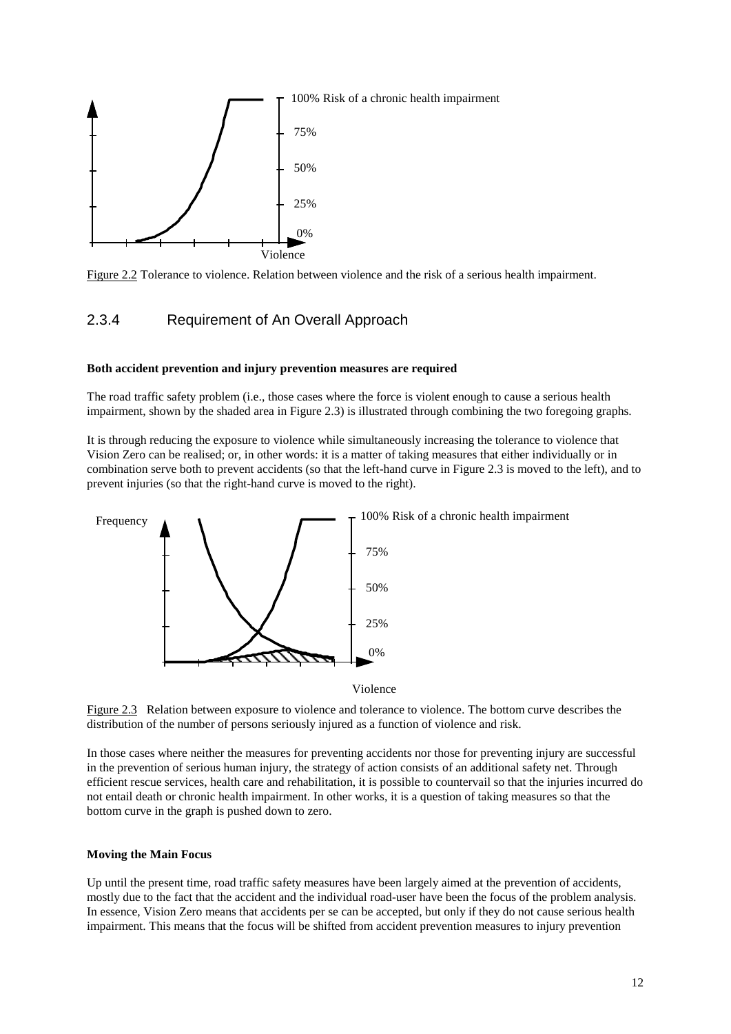

Figure 2.2 Tolerance to violence. Relation between violence and the risk of a serious health impairment.

#### 2.3.4 Requirement of An Overall Approach

#### **Both accident prevention and injury prevention measures are required**

The road traffic safety problem (i.e., those cases where the force is violent enough to cause a serious health impairment, shown by the shaded area in Figure 2.3) is illustrated through combining the two foregoing graphs.

It is through reducing the exposure to violence while simultaneously increasing the tolerance to violence that Vision Zero can be realised; or, in other words: it is a matter of taking measures that either individually or in combination serve both to prevent accidents (so that the left-hand curve in Figure 2.3 is moved to the left), and to prevent injuries (so that the right-hand curve is moved to the right).



Violence

Figure 2.3 Relation between exposure to violence and tolerance to violence. The bottom curve describes the distribution of the number of persons seriously injured as a function of violence and risk.

In those cases where neither the measures for preventing accidents nor those for preventing injury are successful in the prevention of serious human injury, the strategy of action consists of an additional safety net. Through efficient rescue services, health care and rehabilitation, it is possible to countervail so that the injuries incurred do not entail death or chronic health impairment. In other works, it is a question of taking measures so that the bottom curve in the graph is pushed down to zero.

#### **Moving the Main Focus**

Up until the present time, road traffic safety measures have been largely aimed at the prevention of accidents, mostly due to the fact that the accident and the individual road-user have been the focus of the problem analysis. In essence, Vision Zero means that accidents per se can be accepted, but only if they do not cause serious health impairment. This means that the focus will be shifted from accident prevention measures to injury prevention